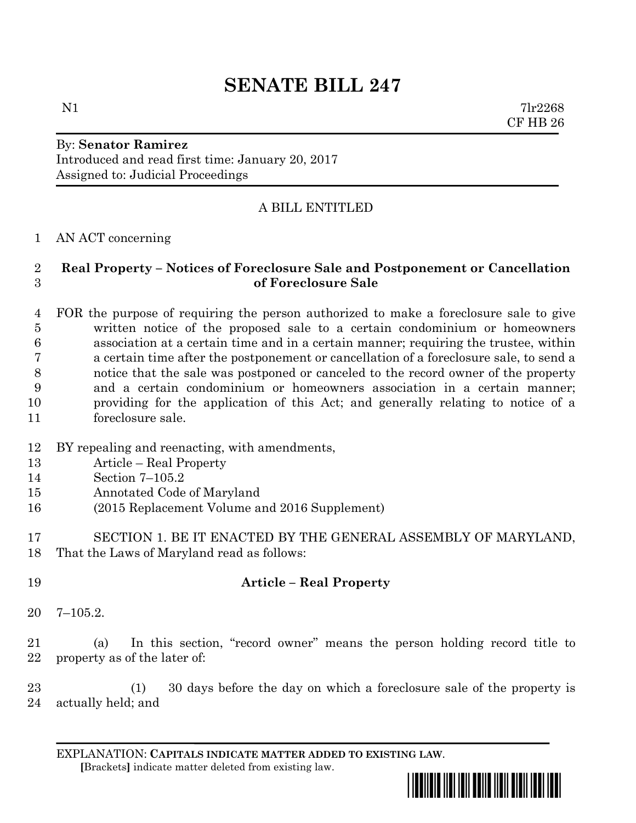# **SENATE BILL 247**

 $N1$   $7lr2268$ CF HB 26

## By: **Senator Ramirez** Introduced and read first time: January 20, 2017 Assigned to: Judicial Proceedings

## A BILL ENTITLED

### AN ACT concerning

## **Real Property – Notices of Foreclosure Sale and Postponement or Cancellation of Foreclosure Sale**

 FOR the purpose of requiring the person authorized to make a foreclosure sale to give written notice of the proposed sale to a certain condominium or homeowners association at a certain time and in a certain manner; requiring the trustee, within a certain time after the postponement or cancellation of a foreclosure sale, to send a notice that the sale was postponed or canceled to the record owner of the property and a certain condominium or homeowners association in a certain manner; providing for the application of this Act; and generally relating to notice of a foreclosure sale.

- BY repealing and reenacting, with amendments,
- Article Real Property
- Section 7–105.2
- Annotated Code of Maryland
- (2015 Replacement Volume and 2016 Supplement)
- SECTION 1. BE IT ENACTED BY THE GENERAL ASSEMBLY OF MARYLAND, That the Laws of Maryland read as follows:
- **Article – Real Property**
- 7–105.2.
- (a) In this section, "record owner" means the person holding record title to property as of the later of:

 (1) 30 days before the day on which a foreclosure sale of the property is actually held; and

EXPLANATION: **CAPITALS INDICATE MATTER ADDED TO EXISTING LAW**.  **[**Brackets**]** indicate matter deleted from existing law.

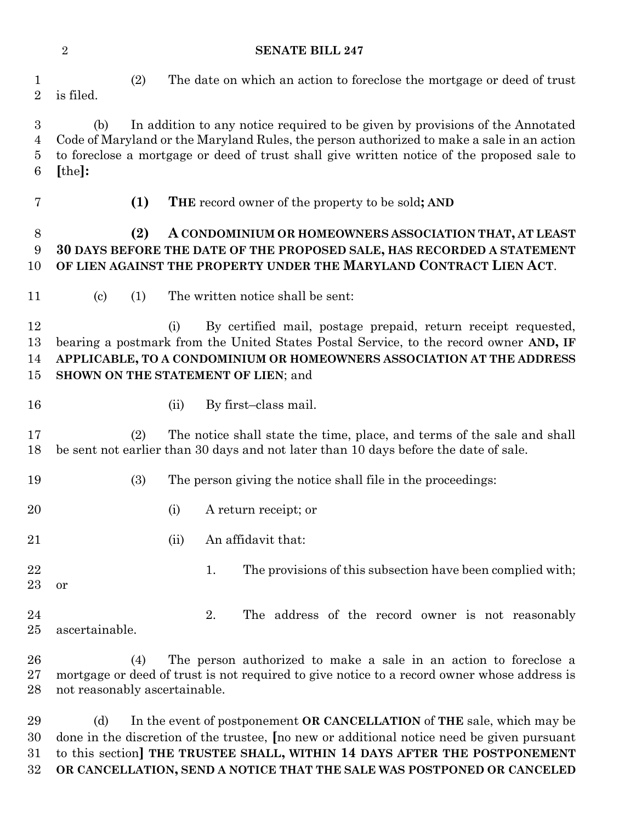(2) The date on which an action to foreclose the mortgage or deed of trust is filed. (b) In addition to any notice required to be given by provisions of the Annotated Code of Maryland or the Maryland Rules, the person authorized to make a sale in an action to foreclose a mortgage or deed of trust shall give written notice of the proposed sale to **[**the**]: (1) THE** record owner of the property to be sold**; AND (2) A CONDOMINIUM OR HOMEOWNERS ASSOCIATION THAT, AT LEAST 30 DAYS BEFORE THE DATE OF THE PROPOSED SALE, HAS RECORDED A STATEMENT OF LIEN AGAINST THE PROPERTY UNDER THE MARYLAND CONTRACT LIEN ACT**. (c) (1) The written notice shall be sent: (i) By certified mail, postage prepaid, return receipt requested, bearing a postmark from the United States Postal Service, to the record owner **AND, IF APPLICABLE, TO A CONDOMINIUM OR HOMEOWNERS ASSOCIATION AT THE ADDRESS SHOWN ON THE STATEMENT OF LIEN**; and 16 (ii) By first–class mail. (2) The notice shall state the time, place, and terms of the sale and shall be sent not earlier than 30 days and not later than 10 days before the date of sale. (3) The person giving the notice shall file in the proceedings: (i) A return receipt; or 21 (ii) An affidavit that: 22 1. The provisions of this subsection have been complied with; or 24 2. The address of the record owner is not reasonably ascertainable. (4) The person authorized to make a sale in an action to foreclose a mortgage or deed of trust is not required to give notice to a record owner whose address is not reasonably ascertainable.

 (d) In the event of postponement **OR CANCELLATION** of **THE** sale, which may be done in the discretion of the trustee, **[**no new or additional notice need be given pursuant to this section**] THE TRUSTEE SHALL, WITHIN 14 DAYS AFTER THE POSTPONEMENT OR CANCELLATION, SEND A NOTICE THAT THE SALE WAS POSTPONED OR CANCELED** 

#### **SENATE BILL 247**